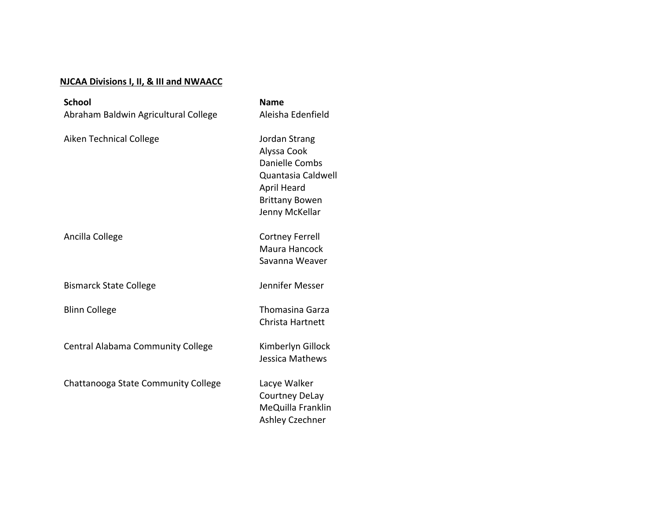## **NJCAA Divisions I, II, & III and NWAACC**

| <b>School</b>                            | <b>Name</b>                                                                                                                           |
|------------------------------------------|---------------------------------------------------------------------------------------------------------------------------------------|
| Abraham Baldwin Agricultural College     | Aleisha Edenfield                                                                                                                     |
| <b>Aiken Technical College</b>           | Jordan Strang<br>Alyssa Cook<br>Danielle Combs<br>Quantasia Caldwell<br><b>April Heard</b><br><b>Brittany Bowen</b><br>Jenny McKellar |
| Ancilla College                          | <b>Cortney Ferrell</b><br>Maura Hancock<br>Savanna Weaver                                                                             |
| <b>Bismarck State College</b>            | Jennifer Messer                                                                                                                       |
| <b>Blinn College</b>                     | <b>Thomasina Garza</b><br>Christa Hartnett                                                                                            |
| <b>Central Alabama Community College</b> | Kimberlyn Gillock<br>Jessica Mathews                                                                                                  |
| Chattanooga State Community College      | Lacye Walker<br><b>Courtney DeLay</b><br>MeQuilla Franklin<br>Ashley Czechner                                                         |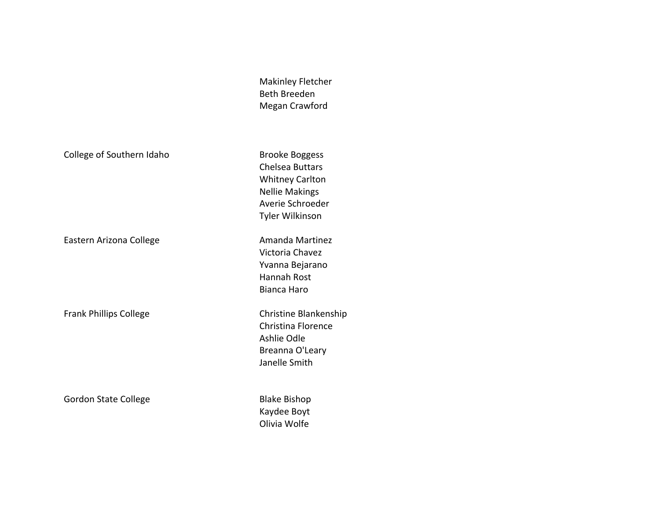Makinley Fletcher Beth Breeden Megan Crawford

College of Southern Idaho Brooke Boggess

Eastern Arizona College **Amanda** Martinez

Frank Phillips College Christine Blankenship

Gordon State College **Blake Bishop** Blake Bishop

Chelsea Buttars Whitney Carlton Nellie Makings Averie Schroeder Tyler Wilkinson

Victoria Chavez Yvanna Bejarano Hannah Rost Bianca Haro

Christina Florence Ashlie Odle Breanna O'Leary Janelle Smith

Kaydee Boyt Olivia Wolfe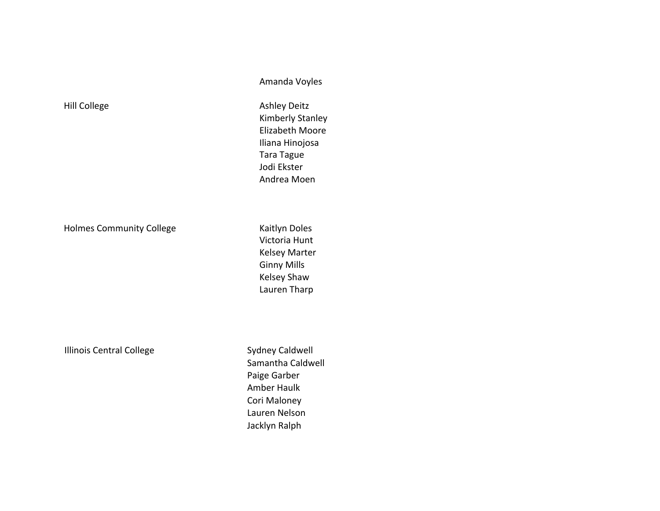Amanda Voyles

Kimberly Stanley Elizabeth Moore Iliana Hinojosa Tara Tague Jodi Ekster Andrea Moen

Hill College **Ashley Deitz** 

Holmes Community College **Kaitlyn** Doles

Victoria Hunt Kelsey Marter **Ginny Mills** Kelsey Shaw Lauren Tharp

Illinois Central College Sydney Caldwell

Samantha Caldwell Paige Garber Amber Haulk Cori Maloney Lauren Nelson Jacklyn Ralph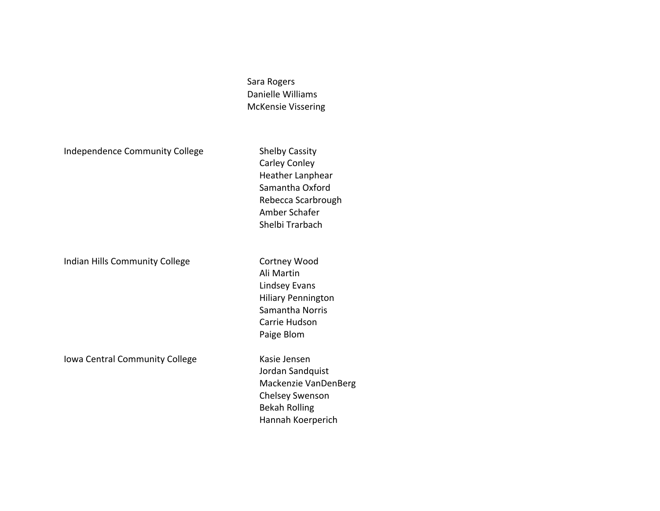Sara Rogers Danielle Williams McKensie Vissering

Independence Community College Shelby Cassity

Indian Hills Community College **Cortney Wood** 

Iowa Central Community College Kasie Jensen

Carley Conley Heather Lanphear Samantha Oxford Rebecca Scarbrough Amber Schafer Shelbi Trarbach

Ali Martin Lindsey Evans Hiliary Pennington Samantha Norris Carrie Hudson Paige Blom

Jordan Sandquist Mackenzie VanDenBerg Chelsey Swenson Bekah Rolling Hannah Koerperich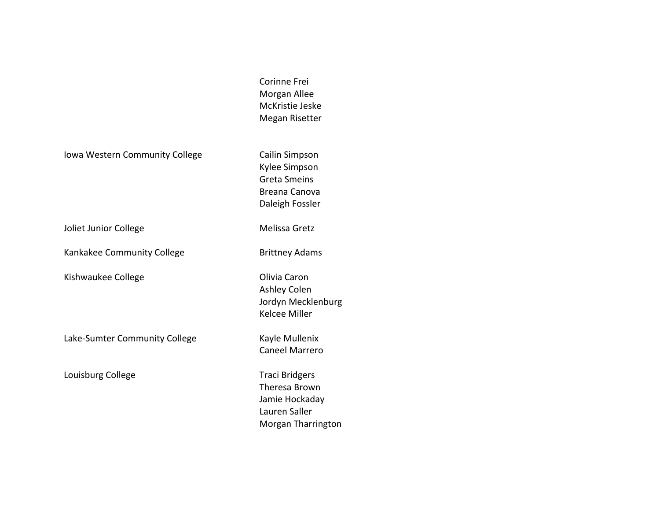Iowa Western Community College Cailin Simpson

Joliet Junior College **Melissa** Gretz

Kankakee Community College **Brittney Adams** 

Kishwaukee College **College College College College College College College College College College College College College College College College College College College College Co** 

Lake-Sumter Community College Kayle Mullenix

Louisburg College Traci Bridgers

Corinne Frei Morgan Allee McKristie Jeske Megan Risetter

Kylee Simpson Greta Smeins Breana Canova Daleigh Fossler

Ashley Colen Jordyn Mecklenburg Kelcee Miller

Caneel Marrero

Theresa Brown Jamie Hockaday Lauren Saller Morgan Tharrington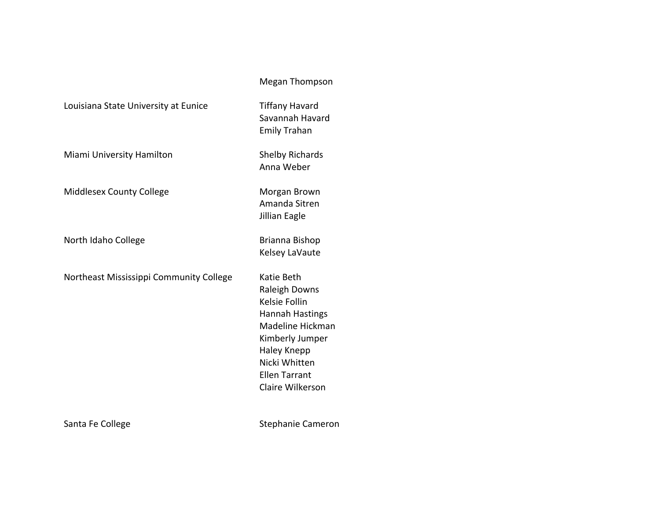## Megan Thompson

Savannah Havard Emily Trahan

Anna Weber

Amanda Sitren Jillian Eagle

Kelsey LaVaute

Raleigh Downs Kelsie Follin

Hannah Hastings Madeline Hickman Kimberly Jumper Haley Knepp Nicki Whitten Ellen Tarrant Claire Wilkerson

Louisiana State University at Eunice Tiffany Havard

Miami University Hamilton Shelby Richards

Middlesex County College Morgan Brown

North Idaho College **Brianna** Bishop

Northeast Mississippi Community College Katie Beth

Santa Fe College Santa Fe College Stephanie Cameron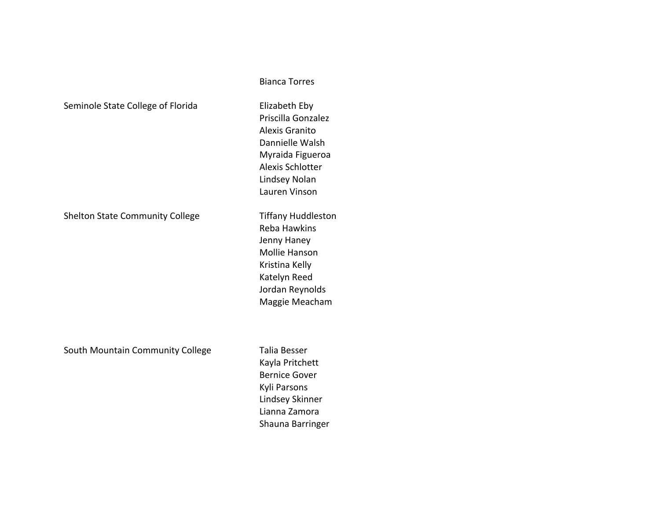|  | Seminole State College of Florida |
|--|-----------------------------------|
|--|-----------------------------------|

Shelton State Community College Tiffany Huddleston

South Mountain Community College Talia Besser

Elizabeth Eby Priscilla Gonzalez Alexis Granito Dannielle Walsh Myraida Figueroa Alexis Schlotter Lindsey Nolan Lauren Vinson

Bianca Torres

Reba Hawkins Jenny Haney Mollie Hanson Kristina Kelly Katelyn Reed Jordan Reynolds Maggie Meacham

Kayla Pritchett Bernice Gover Kyli Parsons Lindsey Skinner Lianna Zamora Shauna Barringer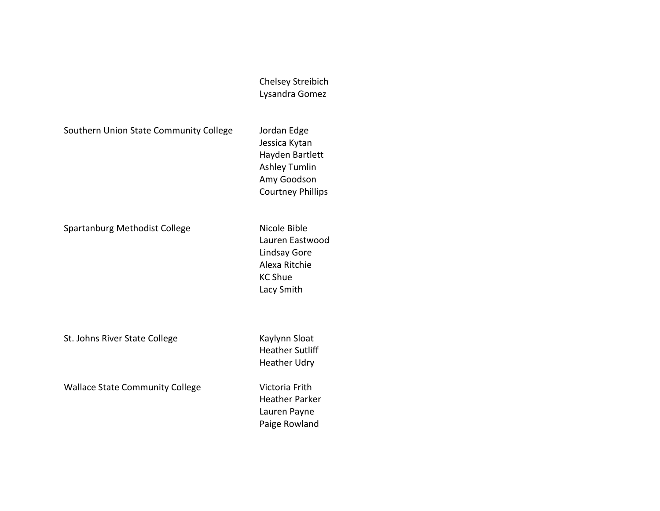Chelsey Streibich Lysandra Gomez

Southern Union State Community College Jordan Edge

Jessica Kytan Hayden Bartlett Ashley Tumlin Amy Goodson Courtney Phillips

Spartanburg Methodist College Nicole Bible

Lauren Eastwood Lindsay Gore Alexa Ritchie KC Shue Lacy Smith

St. Johns River State College Kaylynn Sloat

Wallace State Community College Victoria Frith

Heather Parker Lauren Payne Paige Rowland

Heather Sutliff Heather Udry